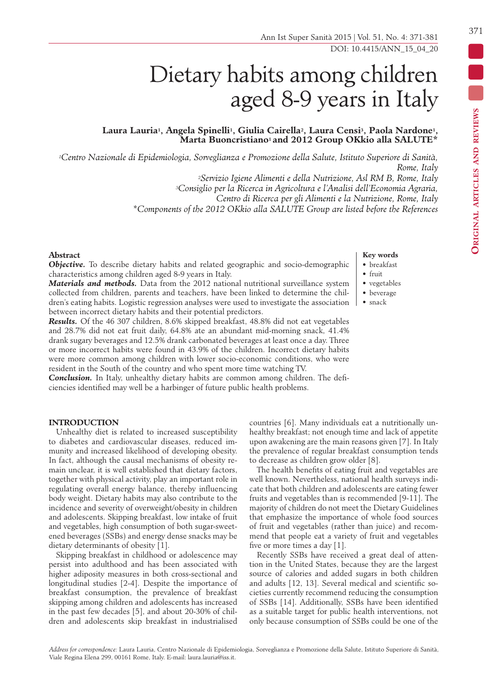• vegetables

• beverage

**Key words** • breakfast • fruit

• snack

Ann Ist Super Sanità 2015 | Vol. 51, No. 4: 371-381 DOI: 10.4415/ANN\_15\_04\_20

# Dietary habits among children aged 8-9 years in Italy

# **Laura Lauria1, Angela Spinelli1, Giulia Cairella2, Laura Censi3, Paola Nardone1, Marta Buoncristiano1 and 2012 Group OKkio alla SALUTE\***

*1Centro Nazionale di Epidemiologia, Sorveglianza e Promozione della Salute, Istituto Superiore di Sanità, Rome, Italy 2Servizio Igiene Alimenti e della Nutrizione, Asl RM B, Rome, Italy*

*3Consiglio per la Ricerca in Agricoltura e l'Analisi dell'Economia Agraria,* 

*Centro di Ricerca per gli Alimenti e la Nutrizione, Rome, Italy*

*\*Components of the 2012 OKkio alla SALUTE Group are listed before the References*

#### **Abstract**

*Objective.* To describe dietary habits and related geographic and socio-demographic characteristics among children aged 8-9 years in Italy.

*Materials and methods.* Data from the 2012 national nutritional surveillance system collected from children, parents and teachers, have been linked to determine the children's eating habits. Logistic regression analyses were used to investigate the association between incorrect dietary habits and their potential predictors.

*Results.* Of the 46 307 children, 8.6% skipped breakfast, 48.8% did not eat vegetables and 28.7% did not eat fruit daily, 64.8% ate an abundant mid-morning snack, 41.4% drank sugary beverages and 12.5% drank carbonated beverages at least once a day. Three or more incorrect habits were found in 43.9% of the children. Incorrect dietary habits were more common among children with lower socio-economic conditions, who were resident in the South of the country and who spent more time watching TV.

*Conclusion.* In Italy, unhealthy dietary habits are common among children. The deficiencies identified may well be a harbinger of future public health problems.

#### **INTRODUCTION**

Unhealthy diet is related to increased susceptibility to diabetes and cardiovascular diseases, reduced immunity and increased likelihood of developing obesity. In fact, although the causal mechanisms of obesity remain unclear, it is well established that dietary factors, together with physical activity, play an important role in regulating overall energy balance, thereby influencing body weight. Dietary habits may also contribute to the incidence and severity of overweight/obesity in children and adolescents. Skipping breakfast, low intake of fruit and vegetables, high consumption of both sugar-sweetened beverages (SSBs) and energy dense snacks may be dietary determinants of obesity [1].

Skipping breakfast in childhood or adolescence may persist into adulthood and has been associated with higher adiposity measures in both cross-sectional and longitudinal studies [2-4]. Despite the importance of breakfast consumption, the prevalence of breakfast skipping among children and adolescents has increased in the past few decades [5], and about 20-30% of children and adolescents skip breakfast in industrialised countries [6]. Many individuals eat a nutritionally unhealthy breakfast; not enough time and lack of appetite upon awakening are the main reasons given [7]. In Italy the prevalence of regular breakfast consumption tends to decrease as children grow older [8].

The health benefits of eating fruit and vegetables are well known. Nevertheless, national health surveys indicate that both children and adolescents are eating fewer fruits and vegetables than is recommended [9-11]. The majority of children do not meet the Dietary Guidelines that emphasize the importance of whole food sources of fruit and vegetables (rather than juice) and recommend that people eat a variety of fruit and vegetables five or more times a day [1].

Recently SSBs have received a great deal of attention in the United States, because they are the largest source of calories and added sugars in both children and adults [12, 13]. Several medical and scientific societies currently recommend reducing the consumption of SSBs [14]. Additionally, SSBs have been identified as a suitable target for public health interventions, not only because consumption of SSBs could be one of the

#### 371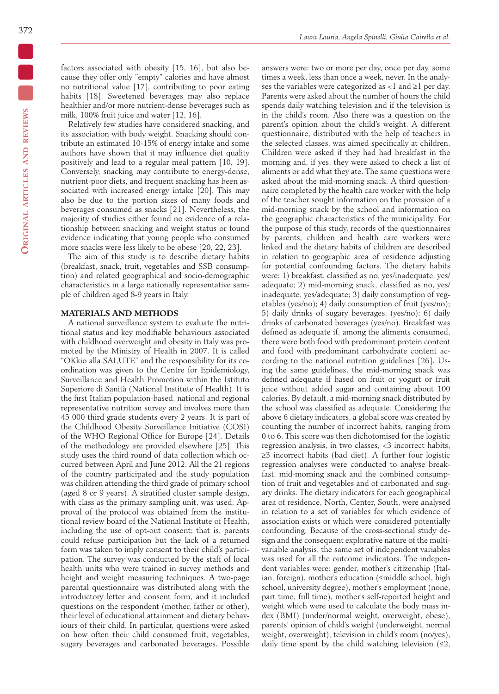**Original articles and reviews**

ORIGINAL ARTICLES AND REVIEWS

factors associated with obesity [15, 16], but also because they offer only "empty" calories and have almost no nutritional value [17], contributing to poor eating habits [18]. Sweetened beverages may also replace healthier and/or more nutrient-dense beverages such as milk, 100% fruit juice and water [12, 16].

Relatively few studies have considered snacking, and its association with body weight. Snacking should contribute an estimated 10-15% of energy intake and some authors have shown that it may influence diet quality positively and lead to a regular meal pattern [10, 19]. Conversely, snacking may contribute to energy-dense, nutrient-poor diets, and frequent snacking has been associated with increased energy intake [20]. This may also be due to the portion sizes of many foods and beverages consumed as snacks [21]. Nevertheless, the majority of studies either found no evidence of a relationship between snacking and weight status or found evidence indicating that young people who consumed more snacks were less likely to be obese [20, 22, 23].

The aim of this study is to describe dietary habits (breakfast, snack, fruit, vegetables and SSB consumption) and related geographical and socio-demographic characteristics in a large nationally representative sample of children aged 8-9 years in Italy.

# **MATERIALS AND METHODS**

A national surveillance system to evaluate the nutritional status and key modifiable behaviours associated with childhood overweight and obesity in Italy was promoted by the Ministry of Health in 2007. It is called "OKkio alla SALUTE" and the responsibility for its coordination was given to the Centre for Epidemiology, Surveillance and Health Promotion within the Istituto Superiore di Sanità (National Institute of Health). It is the first Italian population-based, national and regional representative nutrition survey and involves more than 45 000 third grade students every 2 years. It is part of the Childhood Obesity Surveillance Initiative (COSI) of the WHO Regional Office for Europe [24]. Details of the methodology are provided elsewhere [25]. This study uses the third round of data collection which occurred between April and June 2012. All the 21 regions of the country participated and the study population was children attending the third grade of primary school (aged 8 or 9 years). A stratified cluster sample design, with class as the primary sampling unit, was used. Approval of the protocol was obtained from the institutional review board of the National Institute of Health, including the use of opt-out consent; that is, parents could refuse participation but the lack of a returned form was taken to imply consent to their child's participation. The survey was conducted by the staff of local health units who were trained in survey methods and height and weight measuring techniques. A two-page parental questionnaire was distributed along with the introductory letter and consent form, and it included questions on the respondent (mother, father or other), their level of educational attainment and dietary behaviours of their child. In particular, questions were asked on how often their child consumed fruit, vegetables, sugary beverages and carbonated beverages. Possible answers were: two or more per day, once per day, some times a week, less than once a week, never. In the analyses the variables were categorized as <1 and ≥1 per day. Parents were asked about the number of hours the child spends daily watching television and if the television is in the child's room. Also there was a question on the parent's opinion about the child's weight. A different questionnaire, distributed with the help of teachers in the selected classes, was aimed specifically at children. Children were asked if they had had breakfast in the morning and, if yes, they were asked to check a list of aliments or add what they ate. The same questions were asked about the mid-morning snack. A third questionnaire completed by the health care worker with the help of the teacher sought information on the provision of a mid-morning snack by the school and information on the geographic characteristics of the municipality. For the purpose of this study, records of the questionnaires by parents, children and health care workers were linked and the dietary habits of children are described in relation to geographic area of residence adjusting for potential confounding factors. The dietary habits were: 1) breakfast, classified as no, yes/inadequate, yes/ adequate; 2) mid-morning snack, classified as no, yes/ inadequate, yes/adequate; 3) daily consumption of vegetables (yes/no); 4) daily consumption of fruit (yes/no); 5) daily drinks of sugary beverages, (yes/no); 6) daily drinks of carbonated beverages (yes/no). Breakfast was defined as adequate if, among the aliments consumed, there were both food with predominant protein content and food with predominant carbohydrate content according to the national nutrition guidelines [26]. Using the same guidelines, the mid-morning snack was defined adequate if based on fruit or yogurt or fruit juice without added sugar and containing about 100 calories. By default, a mid-morning snack distributed by the school was classified as adequate. Considering the above 6 dietary indicators, a global score was created by counting the number of incorrect habits, ranging from 0 to 6. This score was then dichotomised for the logistic regression analysis, in two classes, <3 incorrect habits, ≥3 incorrect habits (bad diet). A further four logistic regression analyses were conducted to analyse breakfast, mid-morning snack and the combined consumption of fruit and vegetables and of carbonated and sugary drinks. The dietary indicators for each geographical area of residence, North, Center, South, were analysed in relation to a set of variables for which evidence of association exists or which were considered potentially confounding. Because of the cross-sectional study design and the consequent explorative nature of the multivariable analysis, the same set of independent variables was used for all the outcome indicators. The independent variables were: gender, mother's citizenship (Italian, foreign), mother's education (≤middle school, high school, university degree), mother's employment (none, part time, full time), mother's self-reported height and weight which were used to calculate the body mass index (BMI) (under/normal weight, overweight, obese), parents' opinion of child's weight (underweight, normal weight, overweight), television in child's room (no/yes), daily time spent by the child watching television  $(≤2)$ ,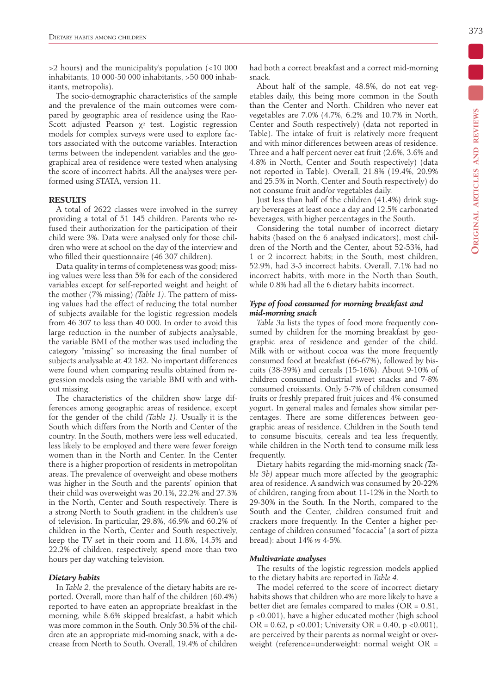>2 hours) and the municipality's population (<10 000 inhabitants, 10 000-50 000 inhabitants, >50 000 inhabitants, metropolis).

The socio-demographic characteristics of the sample and the prevalence of the main outcomes were compared by geographic area of residence using the Rao-Scott adjusted Pearson  $\chi^2$  test. Logistic regression models for complex surveys were used to explore factors associated with the outcome variables. Interaction terms between the independent variables and the geographical area of residence were tested when analysing the score of incorrect habits. All the analyses were performed using STATA, version 11.

#### **RESULTS**

A total of 2622 classes were involved in the survey providing a total of 51 145 children. Parents who refused their authorization for the participation of their child were 3%. Data were analysed only for those children who were at school on the day of the interview and who filled their questionnaire (46 307 children).

Data quality in terms of completeness was good; missing values were less than 5% for each of the considered variables except for self-reported weight and height of the mother (7% missing) *(Table 1)*. The pattern of missing values had the effect of reducing the total number of subjects available for the logistic regression models from 46 307 to less than 40 000. In order to avoid this large reduction in the number of subjects analysable, the variable BMI of the mother was used including the category "missing" so increasing the final number of subjects analysable at 42 182. No important differences were found when comparing results obtained from regression models using the variable BMI with and without missing.

The characteristics of the children show large differences among geographic areas of residence, except for the gender of the child *(Table 1)*. Usually it is the South which differs from the North and Center of the country. In the South, mothers were less well educated, less likely to be employed and there were fewer foreign women than in the North and Center. In the Center there is a higher proportion of residents in metropolitan areas. The prevalence of overweight and obese mothers was higher in the South and the parents' opinion that their child was overweight was 20.1%, 22.2% and 27.3% in the North, Center and South respectively. There is a strong North to South gradient in the children's use of television. In particular, 29.8%, 46.9% and 60.2% of children in the North, Center and South respectively, keep the TV set in their room and 11.8%, 14.5% and 22.2% of children, respectively, spend more than two hours per day watching television.

#### *Dietary habits*

In *Table 2*, the prevalence of the dietary habits are reported. Overall, more than half of the children (60.4%) reported to have eaten an appropriate breakfast in the morning, while 8.6% skipped breakfast, a habit which was more common in the South. Only 30.5% of the children ate an appropriate mid-morning snack, with a decrease from North to South. Overall, 19.4% of children had both a correct breakfast and a correct mid-morning snack.

About half of the sample, 48.8%, do not eat vegetables daily, this being more common in the South than the Center and North. Children who never eat vegetables are 7.0% (4.7%, 6.2% and 10.7% in North, Center and South respectively) (data not reported in Table). The intake of fruit is relatively more frequent and with minor differences between areas of residence. Three and a half percent never eat fruit (2.6%, 3.6% and 4.8% in North, Center and South respectively) (data not reported in Table). Overall, 21.8% (19.4%, 20.9% and 25.5% in North, Center and South respectively) do not consume fruit and/or vegetables daily.

Just less than half of the children (41.4%) drink sugary beverages at least once a day and 12.5% carbonated beverages, with higher percentages in the South.

Considering the total number of incorrect dietary habits (based on the 6 analysed indicators), most children of the North and the Center, about 52-53%, had 1 or 2 incorrect habits; in the South, most children, 52.9%, had 3-5 incorrect habits. Overall, 7.1% had no incorrect habits, with more in the North than South, while 0.8% had all the 6 dietary habits incorrect.

# *Type of food consumed for morning breakfast and mid-morning snack*

*Table 3a* lists the types of food more frequently consumed by children for the morning breakfast by geographic area of residence and gender of the child. Milk with or without cocoa was the more frequently consumed food at breakfast (66-67%), followed by biscuits (38-39%) and cereals (15-16%). About 9-10% of children consumed industrial sweet snacks and 7-8% consumed croissants. Only 5-7% of children consumed fruits or freshly prepared fruit juices and 4% consumed yogurt. In general males and females show similar percentages. There are some differences between geographic areas of residence. Children in the South tend to consume biscuits, cereals and tea less frequently, while children in the North tend to consume milk less frequently.

Dietary habits regarding the mid-morning snack *(Table 3b)* appear much more affected by the geographic area of residence. A sandwich was consumed by 20-22% of children, ranging from about 11-12% in the North to 29-30% in the South. In the North, compared to the South and the Center, children consumed fruit and crackers more frequently. In the Center a higher percentage of children consumed "focaccia" (a sort of pizza bread): about 14% *vs* 4-5%.

#### *Multivariate analyses*

The results of the logistic regression models applied to the dietary habits are reported in *Table 4*.

The model referred to the score of incorrect dietary habits shows that children who are more likely to have a better diet are females compared to males ( $OR = 0.81$ , p <0.001), have a higher educated mother (high school OR =  $0.62$ , p <  $0.001$ ; University OR =  $0.40$ , p <  $0.001$ ), are perceived by their parents as normal weight or overweight (reference=underweight: normal weight OR =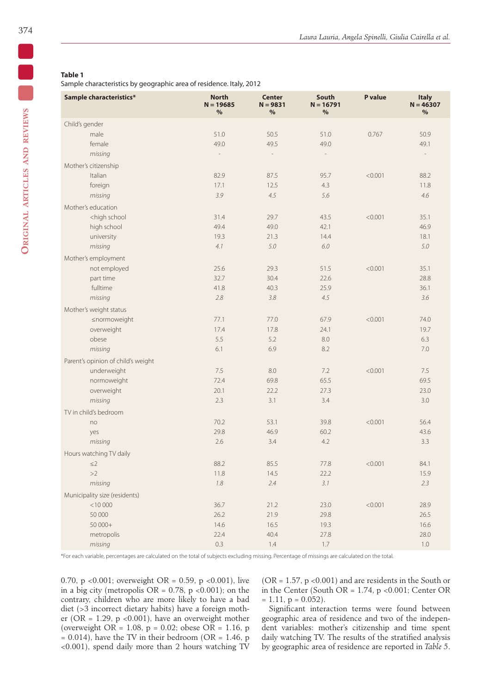Sample characteristics by geographic area of residence. Italy, 2012

| Sample characteristics*                                                                               | <b>North</b><br>$N = 19685$<br>% | <b>Center</b><br>$N = 9831$<br>% | <b>South</b><br>$N = 16791$<br>$\%$ | P value | <b>Italy</b><br>$N = 46307$<br>% |
|-------------------------------------------------------------------------------------------------------|----------------------------------|----------------------------------|-------------------------------------|---------|----------------------------------|
| Child's gender                                                                                        |                                  |                                  |                                     |         |                                  |
| male                                                                                                  | 51.0                             | 50.5                             | 51.0                                | 0.767   | 50.9                             |
| female                                                                                                | 49.0                             | 49.5                             | 49.0                                |         | 49.1                             |
| missing                                                                                               | $\overline{\phantom{a}}$         | $\overline{\phantom{a}}$         | $\overline{\phantom{a}}$            |         | $\frac{1}{2}$                    |
| Mother's citizenship                                                                                  |                                  |                                  |                                     |         |                                  |
| Italian                                                                                               | 82.9                             | 87.5                             | 95.7                                | < 0.001 | 88.2                             |
| foreign                                                                                               | 17.1                             | 12.5                             | 4.3                                 |         | 11.8                             |
| missing                                                                                               | 3.9                              | 4.5                              | 5.6                                 |         | 4.6                              |
| Mother's education                                                                                    |                                  |                                  |                                     |         |                                  |
| <high school<="" td=""><td>31.4</td><td>29.7</td><td>43.5</td><td>&lt; 0.001</td><td>35.1</td></high> | 31.4                             | 29.7                             | 43.5                                | < 0.001 | 35.1                             |
| high school                                                                                           | 49.4                             | 49.0                             | 42.1                                |         | 46.9                             |
| university                                                                                            | 19.3                             | 21.3                             | 14.4                                |         | 18.1                             |
| missing                                                                                               | 4.1                              | 5.0                              | 6.0                                 |         | 5.0                              |
| Mother's employment                                                                                   |                                  |                                  |                                     |         |                                  |
| not employed                                                                                          | 25.6                             | 29.3                             | 51.5                                | < 0.001 | 35.1                             |
| part time                                                                                             | 32.7                             | 30.4                             | 22.6                                |         | 28.8                             |
| fulltime                                                                                              | 41.8                             | 40.3                             | 25.9                                |         | 36.1                             |
| missing                                                                                               | 2.8                              | 3.8                              | 4.5                                 |         | 3.6                              |
| Mother's weight status                                                                                |                                  |                                  |                                     |         |                                  |
| ≤normoweight                                                                                          | 77.1                             | 77.0                             | 67.9                                | < 0.001 | 74.0                             |
| overweight                                                                                            | 17.4                             | 17.8                             | 24.1                                |         | 19.7                             |
| obese                                                                                                 | 5.5                              | 5.2                              | 8.0                                 |         | 6.3                              |
| missing                                                                                               | 6.1                              | 6.9                              | 8.2                                 |         | 7.0                              |
| Parent's opinion of child's weight                                                                    |                                  |                                  |                                     |         |                                  |
| underweight                                                                                           | 7.5                              | $8.0\,$                          | 7.2                                 | < 0.001 | 7.5                              |
| normoweight                                                                                           | 72.4                             | 69.8                             | 65.5                                |         | 69.5                             |
| overweight                                                                                            | 20.1                             | 22.2                             | 27.3                                |         | 23.0                             |
| missing                                                                                               | 2.3                              | 3.1                              | 3.4                                 |         | 3.0                              |
| TV in child's bedroom                                                                                 |                                  |                                  |                                     |         |                                  |
| no                                                                                                    | 70.2                             | 53.1                             | 39.8                                | < 0.001 | 56.4                             |
| yes                                                                                                   | 29.8                             | 46.9                             | 60.2                                |         | 43.6                             |
| missing                                                                                               | 2.6                              | 3.4                              | 4.2                                 |         | 3.3                              |
| Hours watching TV daily                                                                               |                                  |                                  |                                     |         |                                  |
| $\leq$ 2                                                                                              | 88.2                             | 85.5                             | 77.8                                | < 0.001 | 84.1                             |
| >2                                                                                                    | 11.8                             | 14.5                             | 22.2                                |         | 15.9                             |
| missing                                                                                               | 1.8                              | 2.4                              | 3.1                                 |         | 2.3                              |
| Municipality size (residents)                                                                         |                                  |                                  |                                     |         |                                  |
| $<$ 10 000                                                                                            | 36.7                             | 21.2                             | 23.0                                | < 0.001 | 28.9                             |
| 50 000                                                                                                | 26.2                             | 21.9                             | 29.8                                |         | 26.5                             |
| 50 000+                                                                                               | 14.6                             | 16.5                             | 19.3                                |         | 16.6                             |
| metropolis                                                                                            | 22.4                             | 40.4                             | 27.8                                |         | 28.0                             |
| missing                                                                                               | 0.3                              | $1.4$                            | 1.7                                 |         | 1.0                              |

\*For each variable, percentages are calculated on the total of subjects excluding missing. Percentage of missings are calculated on the total.

0.70, p <0.001; overweight OR = 0.59, p <0.001), live in a big city (metropolis  $OR = 0.78$ , p <0.001); on the contrary, children who are more likely to have a bad diet (>3 incorrect dietary habits) have a foreign mother (OR = 1.29,  $p \le 0.001$ ), have an overweight mother (overweight OR =  $1.08$ , p = 0.02; obese OR = 1.16, p  $= 0.014$ ), have the TV in their bedroom (OR = 1.46, p <0.001), spend daily more than 2 hours watching TV (OR = 1.57, p <0.001) and are residents in the South or in the Center (South OR =  $1.74$ , p < 0.001; Center OR  $= 1.11$ ,  $p = 0.052$ ).

Significant interaction terms were found between geographic area of residence and two of the independent variables: mother's citizenship and time spent daily watching TV. The results of the stratified analysis by geographic area of residence are reported in *Table 5*.

H)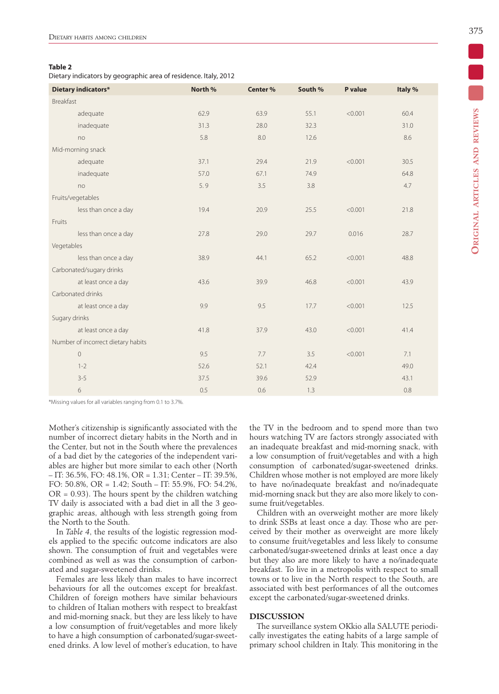Dietary indicators by geographic area of residence. Italy, 2012

| Dietary indicators*                | North % | Center % | South % | P value | Italy % |
|------------------------------------|---------|----------|---------|---------|---------|
| Breakfast                          |         |          |         |         |         |
| adequate                           | 62.9    | 63.9     | 55.1    | < 0.001 | 60.4    |
| inadequate                         | 31.3    | 28.0     | 32.3    |         | 31.0    |
| no                                 | 5.8     | 8.0      | 12.6    |         | 8.6     |
| Mid-morning snack                  |         |          |         |         |         |
| adequate                           | 37.1    | 29.4     | 21.9    | < 0.001 | 30.5    |
| inadequate                         | 57.0    | 67.1     | 74.9    |         | 64.8    |
| no                                 | 5.9     | 3.5      | 3.8     |         | 4.7     |
| Fruits/vegetables                  |         |          |         |         |         |
| less than once a day               | 19.4    | 20.9     | 25.5    | < 0.001 | 21.8    |
| Fruits                             |         |          |         |         |         |
| less than once a day               | 27.8    | 29.0     | 29.7    | 0.016   | 28.7    |
| Vegetables                         |         |          |         |         |         |
| less than once a day               | 38.9    | 44.1     | 65.2    | < 0.001 | 48.8    |
| Carbonated/sugary drinks           |         |          |         |         |         |
| at least once a day                | 43.6    | 39.9     | 46.8    | < 0.001 | 43.9    |
| Carbonated drinks                  |         |          |         |         |         |
| at least once a day                | 9.9     | 9.5      | 17.7    | < 0.001 | 12.5    |
| Sugary drinks                      |         |          |         |         |         |
| at least once a day                | 41.8    | 37.9     | 43.0    | < 0.001 | 41.4    |
| Number of incorrect dietary habits |         |          |         |         |         |
| $\mathbf{0}$                       | 9.5     | 7.7      | 3.5     | < 0.001 | 7.1     |
| $1 - 2$                            | 52.6    | 52.1     | 42.4    |         | 49.0    |
| $3 - 5$                            | 37.5    | 39.6     | 52.9    |         | 43.1    |
| 6                                  | 0.5     | 0.6      | 1.3     |         | 0.8     |

\*Missing values for all variables ranging from 0.1 to 3.7%.

Mother's citizenship is significantly associated with the number of incorrect dietary habits in the North and in the Center, but not in the South where the prevalences of a bad diet by the categories of the independent variables are higher but more similar to each other (North – IT: 36.5%, FO: 48.1%, OR = 1.31; Center – IT: 39.5%, FO: 50.8%, OR = 1.42; South – IT: 55.9%, FO: 54.2%,  $OR = 0.93$ ). The hours spent by the children watching TV daily is associated with a bad diet in all the 3 geographic areas, although with less strength going from the North to the South.

In *Table 4*, the results of the logistic regression models applied to the specific outcome indicators are also shown. The consumption of fruit and vegetables were combined as well as was the consumption of carbonated and sugar-sweetened drinks.

Females are less likely than males to have incorrect behaviours for all the outcomes except for breakfast. Children of foreign mothers have similar behaviours to children of Italian mothers with respect to breakfast and mid-morning snack, but they are less likely to have a low consumption of fruit/vegetables and more likely to have a high consumption of carbonated/sugar-sweetened drinks. A low level of mother's education, to have the TV in the bedroom and to spend more than two hours watching TV are factors strongly associated with an inadequate breakfast and mid-morning snack, with a low consumption of fruit/vegetables and with a high consumption of carbonated/sugar-sweetened drinks. Children whose mother is not employed are more likely to have no/inadequate breakfast and no/inadequate mid-morning snack but they are also more likely to consume fruit/vegetables.

Children with an overweight mother are more likely to drink SSBs at least once a day. Those who are perceived by their mother as overweight are more likely to consume fruit/vegetables and less likely to consume carbonated/sugar-sweetened drinks at least once a day but they also are more likely to have a no/inadequate breakfast. To live in a metropolis with respect to small towns or to live in the North respect to the South, are associated with best performances of all the outcomes except the carbonated/sugar-sweetened drinks.

#### **DISCUSSION**

The surveillance system OKkio alla SALUTE periodically investigates the eating habits of a large sample of primary school children in Italy. This monitoring in the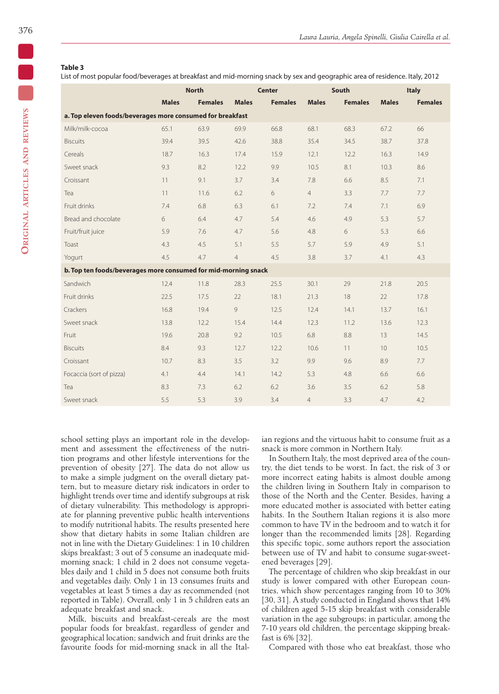List of most popular food/beverages at breakfast and mid-morning snack by sex and geographic area of residence. Italy, 2012

|                                                                |              | <b>North</b>   |                | <b>Center</b>  |                | <b>South</b>   |              | <b>Italy</b>   |  |  |
|----------------------------------------------------------------|--------------|----------------|----------------|----------------|----------------|----------------|--------------|----------------|--|--|
|                                                                | <b>Males</b> | <b>Females</b> | <b>Males</b>   | <b>Females</b> | <b>Males</b>   | <b>Females</b> | <b>Males</b> | <b>Females</b> |  |  |
| a. Top eleven foods/beverages more consumed for breakfast      |              |                |                |                |                |                |              |                |  |  |
| Milk/milk-cocoa                                                | 65.1         | 63.9           | 69.9           | 66.8           | 68.1           | 68.3           | 67.2         | 66             |  |  |
| <b>Biscuits</b>                                                | 39.4         | 39.5           | 42.6           | 38.8           | 35.4           | 34.5           | 38.7         | 37.8           |  |  |
| Cereals                                                        | 18.7         | 16.3           | 17.4           | 15.9           | 12.1           | 12.2           | 16.3         | 14.9           |  |  |
| Sweet snack                                                    | 9.3          | 8.2            | 12.2           | 9.9            | 10.5           | 8.1            | 10.3         | 8.6            |  |  |
| Croissant                                                      | 11           | 9.1            | 3.7            | 3.4            | 7.8            | 6.6            | 8.5          | 7.1            |  |  |
| Tea                                                            | 11           | 11.6           | 6.2            | 6              | $\overline{4}$ | 3.3            | 7.7          | 7.7            |  |  |
| Fruit drinks                                                   | 7.4          | 6.8            | 6.3            | 6.1            | 7.2            | 7.4            | 7.1          | 6.9            |  |  |
| Bread and chocolate                                            | 6            | 6.4            | 4.7            | 5.4            | 4.6            | 4.9            | 5.3          | 5.7            |  |  |
| Fruit/fruit juice                                              | 5.9          | 7.6            | 4.7            | 5.6            | 4.8            | 6              | 5.3          | 6.6            |  |  |
| Toast                                                          | 4.3          | 4.5            | 5.1            | 5.5            | 5.7            | 5.9            | 4.9          | 5.1            |  |  |
| Yogurt                                                         | 4.5          | 4.7            | $\overline{4}$ | 4.5            | 3.8            | 3.7            | 4.1          | 4.3            |  |  |
| b. Top ten foods/beverages more consumed for mid-morning snack |              |                |                |                |                |                |              |                |  |  |
| Sandwich                                                       | 12.4         | 11.8           | 28.3           | 25.5           | 30.1           | 29             | 21.8         | 20.5           |  |  |
| Fruit drinks                                                   | 22.5         | 17.5           | 22             | 18.1           | 21.3           | 18             | 22           | 17.8           |  |  |
| Crackers                                                       | 16.8         | 19.4           | $\overline{9}$ | 12.5           | 12.4           | 14.1           | 13.7         | 16.1           |  |  |
| Sweet snack                                                    | 13.8         | 12.2           | 15.4           | 14.4           | 12.3           | 11.2           | 13.6         | 12.3           |  |  |
| Fruit                                                          | 19.6         | 20.8           | 9.2            | 10.5           | 6.8            | 8.8            | 13           | 14.5           |  |  |
| <b>Biscuits</b>                                                | 8.4          | 9.3            | 12.7           | 12.2           | 10.6           | 11             | 10           | 10.5           |  |  |
| Croissant                                                      | 10.7         | 8.3            | 3.5            | 3.2            | 9.9            | 9.6            | 8.9          | 7.7            |  |  |
| Focaccia (sort of pizza)                                       | 4.1          | 4.4            | 14.1           | 14.2           | 5.3            | 4.8            | 6.6          | 6.6            |  |  |
| Tea                                                            | 8.3          | 7.3            | 6.2            | 6.2            | 3.6            | 3.5            | 6.2          | 5.8            |  |  |
| Sweet snack                                                    | 5.5          | 5.3            | 3.9            | 3.4            | $\overline{4}$ | 3.3            | 4.7          | 4.2            |  |  |

school setting plays an important role in the development and assessment the effectiveness of the nutrition programs and other lifestyle interventions for the prevention of obesity [27]. The data do not allow us to make a simple judgment on the overall dietary pattern, but to measure dietary risk indicators in order to highlight trends over time and identify subgroups at risk of dietary vulnerability. This methodology is appropriate for planning preventive public health interventions to modify nutritional habits. The results presented here show that dietary habits in some Italian children are not in line with the Dietary Guidelines: 1 in 10 children skips breakfast; 3 out of 5 consume an inadequate midmorning snack; 1 child in 2 does not consume vegetables daily and 1 child in 5 does not consume both fruits and vegetables daily. Only 1 in 13 consumes fruits and vegetables at least 5 times a day as recommended (not reported in Table). Overall, only 1 in 5 children eats an adequate breakfast and snack.

Milk, biscuits and breakfast-cereals are the most popular foods for breakfast, regardless of gender and geographical location; sandwich and fruit drinks are the favourite foods for mid-morning snack in all the Italian regions and the virtuous habit to consume fruit as a snack is more common in Northern Italy.

In Southern Italy, the most deprived area of the country, the diet tends to be worst. In fact, the risk of 3 or more incorrect eating habits is almost double among the children living in Southern Italy in comparison to those of the North and the Center. Besides, having a more educated mother is associated with better eating habits. In the Southern Italian regions it is also more common to have TV in the bedroom and to watch it for longer than the recommended limits [28]. Regarding this specific topic, some authors report the association between use of TV and habit to consume sugar-sweetened beverages [29].

The percentage of children who skip breakfast in our study is lower compared with other European countries, which show percentages ranging from 10 to 30% [30, 31]. A study conducted in England shows that 14% of children aged 5-15 skip breakfast with considerable variation in the age subgroups; in particular, among the 7-10 years old children, the percentage skipping breakfast is 6% [32].

Compared with those who eat breakfast, those who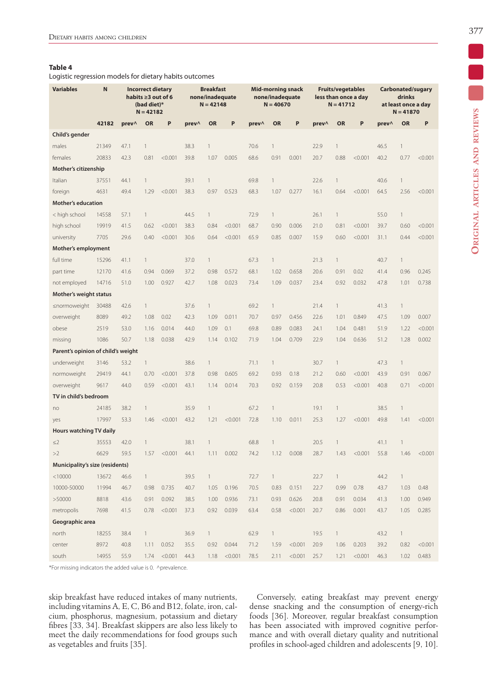Logistic regression models for dietary habits outcomes

| <b>Variables</b>                   | $\mathbf N$ |       | <b>Incorrect dietary</b><br>habits ≥3 out of 6<br>(bad diet)*<br>$N = 42182$ |         | <b>Breakfast</b><br>none/inadequate<br>$N = 42148$ |              | <b>Mid-morning snack</b><br>none/inadequate<br>$N = 40670$ |       |              | <b>Fruits/vegetables</b><br>less than once a day<br>$N = 41712$ |       |              | Carbonated/sugary<br>drinks<br>at least once a day<br>$N = 41870$ |       |              |         |
|------------------------------------|-------------|-------|------------------------------------------------------------------------------|---------|----------------------------------------------------|--------------|------------------------------------------------------------|-------|--------------|-----------------------------------------------------------------|-------|--------------|-------------------------------------------------------------------|-------|--------------|---------|
|                                    | 42182       | prev^ | <b>OR</b>                                                                    | P       | prev^                                              | <b>OR</b>    | P                                                          | prev^ | <b>OR</b>    | P                                                               | prev^ | <b>OR</b>    | P                                                                 | prev^ | <b>OR</b>    | P       |
| Child's gender                     |             |       |                                                                              |         |                                                    |              |                                                            |       |              |                                                                 |       |              |                                                                   |       |              |         |
| males                              | 21349       | 47.1  | $\mathbf{1}$                                                                 |         | 38.3                                               | $\mathbf{1}$ |                                                            | 70.6  | 1            |                                                                 | 22.9  | $\mathbf{1}$ |                                                                   | 46.5  | $\mathbf{1}$ |         |
| females                            | 20833       | 42.3  | 0.81                                                                         | < 0.001 | 39.8                                               | 1.07         | 0.005                                                      | 68.6  | 0.91         | 0.001                                                           | 20.7  | 0.88         | < 0.001                                                           | 40.2  | 0.77         | < 0.001 |
| Mother's citizenship               |             |       |                                                                              |         |                                                    |              |                                                            |       |              |                                                                 |       |              |                                                                   |       |              |         |
| Italian                            | 37551       | 44.1  | $\mathbf{1}$                                                                 |         | 39.1                                               | $\mathbf{1}$ |                                                            | 69.8  |              |                                                                 | 22.6  | $\mathbf{1}$ |                                                                   | 40.6  | $\mathbf{1}$ |         |
| foreign                            | 4631        | 49.4  | 1.29                                                                         | < 0.001 | 38.3                                               | 0.97         | 0.523                                                      | 68.3  | 1.07         | 0.277                                                           | 16.1  | 0.64         | < 0.001                                                           | 64.5  | 2.56         | < 0.001 |
| <b>Mother's education</b>          |             |       |                                                                              |         |                                                    |              |                                                            |       |              |                                                                 |       |              |                                                                   |       |              |         |
| < high school                      | 14558       | 57.1  | 1                                                                            |         | 44.5                                               | $\mathbf{1}$ |                                                            | 72.9  | 1            |                                                                 | 26.1  | $\mathbf{1}$ |                                                                   | 55.0  | $\mathbf{1}$ |         |
| high school                        | 19919       | 41.5  | 0.62                                                                         | < 0.001 | 38.3                                               | 0.84         | < 0.001                                                    | 68.7  | 0.90         | 0.006                                                           | 21.0  | 0.81         | < 0.001                                                           | 39.7  | 0.60         | < 0.001 |
| university                         | 7705        | 29.6  | 0.40                                                                         | < 0.001 | 30.6                                               | 0.64         | < 0.001                                                    | 65.9  | 0.85         | 0.007                                                           | 15.9  | 0.60         | < 0.001                                                           | 31.1  | 0.44         | < 0.001 |
| Mother's employment                |             |       |                                                                              |         |                                                    |              |                                                            |       |              |                                                                 |       |              |                                                                   |       |              |         |
| full time                          | 15296       | 41.1  | 1                                                                            |         | 37.0                                               | $\mathbf{1}$ |                                                            | 67.3  | 1            |                                                                 | 21.3  | $\mathbf{1}$ |                                                                   | 40.7  | $\mathbf{1}$ |         |
| part time                          | 12170       | 41.6  | 0.94                                                                         | 0.069   | 37.2                                               | 0.98         | 0.572                                                      | 68.1  | 1.02         | 0.658                                                           | 20.6  | 0.91         | 0.02                                                              | 41.4  | 0.96         | 0.245   |
| not employed                       | 14716       | 51.0  | 1.00                                                                         | 0.927   | 42.7                                               | 1.08         | 0.023                                                      | 73.4  | 1.09         | 0.037                                                           | 23.4  | 0.92         | 0.032                                                             | 47.8  | 1.01         | 0.738   |
| Mother's weight status             |             |       |                                                                              |         |                                                    |              |                                                            |       |              |                                                                 |       |              |                                                                   |       |              |         |
| ≤normoweight                       | 30488       | 42.6  | 1                                                                            |         | 37.6                                               | $\mathbf{1}$ |                                                            | 69.2  | $\mathbf{1}$ |                                                                 | 21.4  | 1            |                                                                   | 41.3  | $\mathbf{1}$ |         |
| overweight                         | 8089        | 49.2  | 1.08                                                                         | 0.02    | 42.3                                               | 1.09         | 0.011                                                      | 70.7  | 0.97         | 0.456                                                           | 22.6  | 1.01         | 0.849                                                             | 47.5  | 1.09         | 0.007   |
| obese                              | 2519        | 53.0  | 1.16                                                                         | 0.014   | 44.0                                               | 1.09         | 0.1                                                        | 69.8  | 0.89         | 0.083                                                           | 24.1  | 1.04         | 0.481                                                             | 51.9  | 1.22         | < 0.001 |
| missing                            | 1086        | 50.7  | 1.18                                                                         | 0.038   | 42.9                                               | 1.14         | 0.102                                                      | 71.9  | 1.04         | 0.709                                                           | 22.9  | 1.04         | 0.636                                                             | 51.2  | 1.28         | 0.002   |
| Parent's opinion of child's weight |             |       |                                                                              |         |                                                    |              |                                                            |       |              |                                                                 |       |              |                                                                   |       |              |         |
| underweight                        | 3146        | 53.2  | $\mathbbm{1}$                                                                |         | 38.6                                               | 1            |                                                            | 71.1  | $\mathbf{1}$ |                                                                 | 30.7  | $\mathbf{1}$ |                                                                   | 47.3  | $\mathbf{1}$ |         |
| normoweight                        | 29419       | 44.1  | 0.70                                                                         | < 0.001 | 37.8                                               | 0.98         | 0.605                                                      | 69.2  | 0.93         | 0.18                                                            | 21.2  | 0.60         | < 0.001                                                           | 43.9  | 0.91         | 0.067   |
| overweight                         | 9617        | 44.0  | 0.59                                                                         | < 0.001 | 43.1                                               | 1.14         | 0.014                                                      | 70.3  | 0.92         | 0.159                                                           | 20.8  | 0.53         | < 0.001                                                           | 40.8  | 0.71         | < 0.001 |
| TV in child's bedroom              |             |       |                                                                              |         |                                                    |              |                                                            |       |              |                                                                 |       |              |                                                                   |       |              |         |
| no                                 | 24185       | 38.2  | $\mathbf{1}$                                                                 |         | 35.9                                               | 1            |                                                            | 67.2  | $\mathbf{1}$ |                                                                 | 19.1  | 1            |                                                                   | 38.5  | $\mathbf{1}$ |         |
| yes                                | 17997       | 53.3  | 1.46                                                                         | < 0.001 | 43.2                                               | 1.21         | < 0.001                                                    | 72.8  | 1.10         | 0.011                                                           | 25.3  | 1.27         | < 0.001                                                           | 49.8  | 1.41         | < 0.001 |
| Hours watching TV daily            |             |       |                                                                              |         |                                                    |              |                                                            |       |              |                                                                 |       |              |                                                                   |       |              |         |
| $\leq$ 2                           | 35553       | 42.0  | $\mathbf{1}$                                                                 |         | 38.1                                               | $\mathbf{1}$ |                                                            | 68.8  | $\mathbf{1}$ |                                                                 | 20.5  | 1            |                                                                   | 41.1  | 1            |         |
| >2                                 | 6629        | 59.5  | 1.57                                                                         | < 0.001 | 44.1                                               | 1.11         | 0.002                                                      | 74.2  | 1.12         | 0.008                                                           | 28.7  | 1.43         | < 0.001                                                           | 55.8  | 1.46         | < 0.001 |
| Municipality's size (residents)    |             |       |                                                                              |         |                                                    |              |                                                            |       |              |                                                                 |       |              |                                                                   |       |              |         |
| < 10000                            | 13672       | 46.6  | $\mathbf{1}$                                                                 |         | 39.5                                               | $\mathbf{1}$ |                                                            | 72.7  | $\mathbf{1}$ |                                                                 | 22.7  | $\mathbf{1}$ |                                                                   | 44.2  | $\mathbf{1}$ |         |
| 10000-50000                        | 11994       | 46.7  | 0.98                                                                         | 0.735   | 40.7                                               | 1.05         | 0.196                                                      | 70.5  | 0.83         | 0.151                                                           | 22.7  | 0.99         | 0.78                                                              | 43.7  | 1.03         | 0.48    |
| >50000                             | 8818        | 43.6  | 0.91                                                                         | 0.092   | 38.5                                               | 1.00         | 0.936                                                      | 73.1  | 0.93         | 0.626                                                           | 20.8  | 0.91         | 0.034                                                             | 41.3  | 1.00         | 0.949   |
| metropolis                         | 7698        | 41.5  | 0.78                                                                         | < 0.001 | 37.3                                               | 0.92         | 0.039                                                      | 63.4  | 0.58         | < 0.001                                                         | 20.7  | 0.86         | 0.001                                                             | 43.7  | 1.05         | 0.285   |
| Geographic area                    |             |       |                                                                              |         |                                                    |              |                                                            |       |              |                                                                 |       |              |                                                                   |       |              |         |
| north                              | 18255       | 38.4  | $\mathbf{1}$                                                                 |         | 36.9                                               | $\mathbf{1}$ |                                                            | 62.9  | 1            |                                                                 | 19.5  | $\mathbf{1}$ |                                                                   | 43.2  | $\mathbf{1}$ |         |
| center                             | 8972        | 40.8  | 1.11                                                                         | 0.052   | 35.5                                               | 0.92         | 0.044                                                      | 71.2  | 1.59         | < 0.001                                                         | 20.9  | 1.06         | 0.203                                                             | 39.2  | 0.82         | < 0.001 |
| south                              | 14955       | 55.9  | 1.74                                                                         | < 0.001 | 44.3                                               |              | 1.18 < 0.001                                               | 78.5  | 2.11         | $< 0.001$ 25.7                                                  |       | 1.21         | < 0.001                                                           | 46.3  | 1.02         | 0.483   |

\*For missing indicators the added value is 0. ^prevalence.

skip breakfast have reduced intakes of many nutrients, including vitamins A, E, C, B6 and B12, folate, iron, calcium, phosphorus, magnesium, potassium and dietary fibres [33, 34]. Breakfast skippers are also less likely to meet the daily recommendations for food groups such as vegetables and fruits [35].

Conversely, eating breakfast may prevent energy dense snacking and the consumption of energy-rich foods [36]. Moreover, regular breakfast consumption has been associated with improved cognitive performance and with overall dietary quality and nutritional profiles in school-aged children and adolescents [9, 10]. Ξ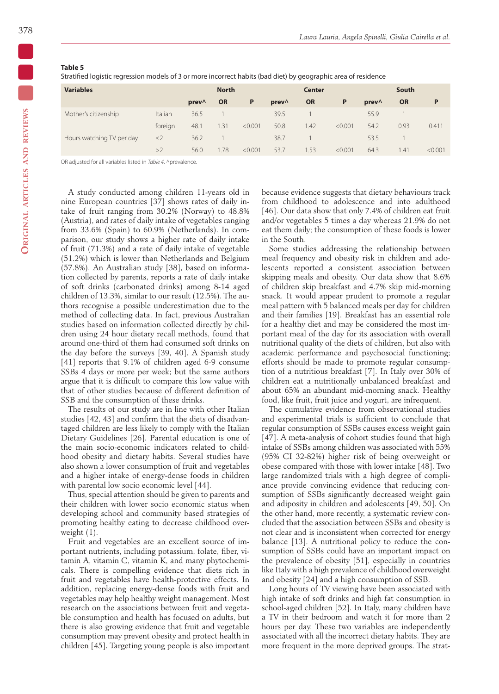Stratified logistic regression models of 3 or more incorrect habits (bad diet) by geographic area of residence

| <b>Variables</b>          | <b>North</b> |       |           | <b>Center</b> |       |           | South   |                 |           |         |
|---------------------------|--------------|-------|-----------|---------------|-------|-----------|---------|-----------------|-----------|---------|
|                           |              | prev^ | <b>OR</b> | P             | prev^ | <b>OR</b> | P       | $prev^{\wedge}$ | <b>OR</b> | P       |
| Mother's citizenship      | Italian      | 36.5  |           |               | 39.5  |           |         | 55.9            |           |         |
|                           | foreign      | 48.1  | 1.31      | < 0.001       | 50.8  | .42       | < 0.001 | 54.2            | 0.93      | 0.411   |
| Hours watching TV per day | $\leq$ 2     | 36.2  |           |               | 38.7  |           |         | 53.5            |           |         |
|                           | >2           | 56.0  | 1.78      | < 0.001       | 53.7  | .53       | < 0.001 | 64.3            | 1.41      | < 0.001 |

OR adjusted for all variables listed in *Table 4*. ^prevalence.

A study conducted among children 11-years old in nine European countries [37] shows rates of daily intake of fruit ranging from 30.2% (Norway) to 48.8% (Austria), and rates of daily intake of vegetables ranging from 33.6% (Spain) to 60.9% (Netherlands). In comparison, our study shows a higher rate of daily intake of fruit (71.3%) and a rate of daily intake of vegetable (51.2%) which is lower than Netherlands and Belgium (57.8%). An Australian study [38], based on information collected by parents, reports a rate of daily intake of soft drinks (carbonated drinks) among 8-14 aged children of 13.3%, similar to our result (12.5%). The authors recognise a possible underestimation due to the method of collecting data. In fact, previous Australian studies based on information collected directly by children using 24 hour dietary recall methods, found that around one-third of them had consumed soft drinks on the day before the surveys [39, 40]. A Spanish study [41] reports that 9.1% of children aged 6-9 consume SSBs 4 days or more per week; but the same authors argue that it is difficult to compare this low value with that of other studies because of different definition of SSB and the consumption of these drinks.

The results of our study are in line with other Italian studies [42, 43] and confirm that the diets of disadvantaged children are less likely to comply with the Italian Dietary Guidelines [26]. Parental education is one of the main socio-economic indicators related to childhood obesity and dietary habits. Several studies have also shown a lower consumption of fruit and vegetables and a higher intake of energy-dense foods in children with parental low socio economic level [44].

Thus, special attention should be given to parents and their children with lower socio economic status when developing school and community based strategies of promoting healthy eating to decrease childhood overweight (1).

Fruit and vegetables are an excellent source of important nutrients, including potassium, folate, fiber, vitamin A, vitamin C, vitamin K, and many phytochemicals. There is compelling evidence that diets rich in fruit and vegetables have health-protective effects. In addition, replacing energy-dense foods with fruit and vegetables may help healthy weight management. Most research on the associations between fruit and vegetable consumption and health has focused on adults, but there is also growing evidence that fruit and vegetable consumption may prevent obesity and protect health in children [45]. Targeting young people is also important because evidence suggests that dietary behaviours track from childhood to adolescence and into adulthood [46]. Our data show that only 7.4% of children eat fruit and/or vegetables 5 times a day whereas 21.9% do not eat them daily; the consumption of these foods is lower in the South.

Some studies addressing the relationship between meal frequency and obesity risk in children and adolescents reported a consistent association between skipping meals and obesity. Our data show that 8.6% of children skip breakfast and 4.7% skip mid-morning snack. It would appear prudent to promote a regular meal pattern with 5 balanced meals per day for children and their families [19]. Breakfast has an essential role for a healthy diet and may be considered the most important meal of the day for its association with overall nutritional quality of the diets of children, but also with academic performance and psychosocial functioning; efforts should be made to promote regular consumption of a nutritious breakfast [7]. In Italy over 30% of children eat a nutritionally unbalanced breakfast and about 65% an abundant mid-morning snack. Healthy food, like fruit, fruit juice and yogurt, are infrequent.

The cumulative evidence from observational studies and experimental trials is sufficient to conclude that regular consumption of SSBs causes excess weight gain [47]. A meta-analysis of cohort studies found that high intake of SSBs among children was associated with 55% (95% CI 32-82%) higher risk of being overweight or obese compared with those with lower intake [48]. Two large randomized trials with a high degree of compliance provide convincing evidence that reducing consumption of SSBs significantly decreased weight gain and adiposity in children and adolescents [49, 50]. On the other hand, more recently, a systematic review concluded that the association between SSBs and obesity is not clear and is inconsistent when corrected for energy balance [13]. A nutritional policy to reduce the consumption of SSBs could have an important impact on the prevalence of obesity [51], especially in countries like Italy with a high prevalence of childhood overweight and obesity [24] and a high consumption of SSB.

Long hours of TV viewing have been associated with high intake of soft drinks and high fat consumption in school-aged children [52]. In Italy, many children have a TV in their bedroom and watch it for more than 2 hours per day. These two variables are independently associated with all the incorrect dietary habits. They are more frequent in the more deprived groups. The strat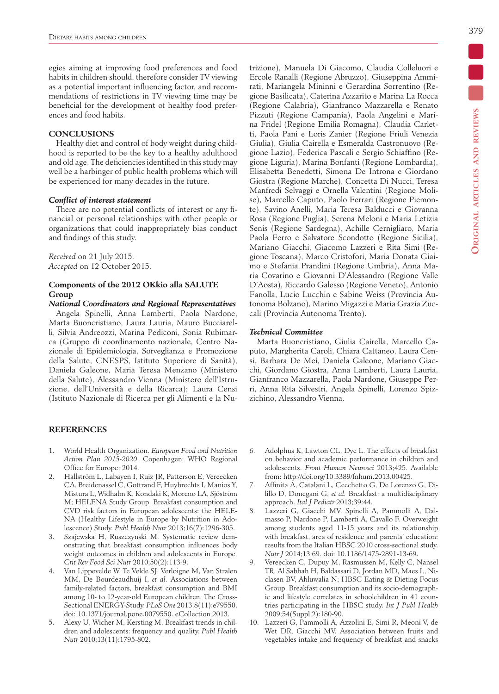egies aiming at improving food preferences and food habits in children should, therefore consider TV viewing as a potential important influencing factor, and recommendations of restrictions in TV viewing time may be beneficial for the development of healthy food preferences and food habits.

#### **CONCLUSIONS**

Healthy diet and control of body weight during childhood is reported to be the key to a healthy adulthood and old age. The deficiencies identified in this study may well be a harbinger of public health problems which will be experienced for many decades in the future.

## *Conflict of interest statement*

There are no potential conflicts of interest or any financial or personal relationships with other people or organizations that could inappropriately bias conduct and findings of this study.

*Received* on 21 July 2015. *Accepted* on 12 October 2015.

# **Components of the 2012 OKkio alla SALUTE Group**

*National Coordinators and Regional Representatives* Angela Spinelli, Anna Lamberti, Paola Nardone, Marta Buoncristiano, Laura Lauria, Mauro Bucciarelli, Silvia Andreozzi, Marina Pediconi, Sonia Rubimarca (Gruppo di coordinamento nazionale, Centro Nazionale di Epidemiologia, Sorveglianza e Promozione della Salute, CNESPS, Istituto Superiore di Sanità), Daniela Galeone, Maria Teresa Menzano (Ministero della Salute), Alessandro Vienna (Ministero dell'Istruzione, dell'Università e della Ricarca); Laura Censi (Istituto Nazionale di Ricerca per gli Alimenti e la Nu-

## **References**

- 1. World Health Organization. *European Food and Nutrition Action Plan 2015-2020*. Copenhagen: WHO Regional Office for Europe; 2014.
- 2. Hallström L, Labayen I, Ruiz JR, Patterson E, Vereecken CA, Breidenassel C, Gottrand F, Huybrechts I, Manios Y, Mistura L, Widhalm K, Kondaki K, Moreno LA, Sjöström M; HELENA Study Group. Breakfast consumption and CVD risk factors in European adolescents: the HELE-NA (Healthy Lifestyle in Europe by Nutrition in Adolescence) Study. *Publ Health Nutr* 2013;16(7):1296-305.
- 3. Szajewska H, Ruszczynski M. Systematic review demonstrating that breakfast consumption influences body weight outcomes in children and adolescents in Europe*. Crit Rev Food Sci Nutr* 2010;50(2):113-9.
- 4. Van Lippevelde W, Te Velde SJ, Verloigne M, Van Stralen MM, De Bourdeaudhuij I, *et al.* Associations between family-related factors, breakfast consumption and BMI among 10- to 12-year-old European children. The Cross-Sectional ENERGY-Study. *PLoS One* 2013;8(11):e79550. doi: 10.1371/journal.pone.0079550. eCollection 2013.
- 5. Alexy U, Wicher M, Kersting M. Breakfast trends in children and adolescents: frequency and quality. *Publ Health Nutr* 2010;13(11):1795-802.

**Original articles and reviews**

ORIGINAL ARTICLES AND REVIEWS

trizione), Manuela Di Giacomo, Claudia Colleluori e Ercole Ranalli (Regione Abruzzo), Giuseppina Ammirati, Mariangela Mininni e Gerardina Sorrentino (Regione Basilicata), Caterina Azzarito e Marina La Rocca (Regione Calabria), Gianfranco Mazzarella e Renato Pizzuti (Regione Campania), Paola Angelini e Marina Fridel (Regione Emilia Romagna), Claudia Carletti, Paola Pani e Loris Zanier (Regione Friuli Venezia Giulia), Giulia Cairella e Esmeralda Castronuovo (Regione Lazio), Federica Pascali e Sergio Schiaffino (Regione Liguria), Marina Bonfanti (Regione Lombardia), Elisabetta Benedetti, Simona De Introna e Giordano Giostra (Regione Marche), Concetta Di Nucci, Teresa Manfredi Selvaggi e Ornella Valentini (Regione Molise), Marcello Caputo, Paolo Ferrari (Regione Piemonte), Savino Anelli, Maria Teresa Balducci e Giovanna Rosa (Regione Puglia), Serena Meloni e Maria Letizia Senis (Regione Sardegna), Achille Cernigliaro, Maria Paola Ferro e Salvatore Scondotto (Regione Sicilia), Mariano Giacchi, Giacomo Lazzeri e Rita Simi (Regione Toscana), Marco Cristofori, Maria Donata Giaimo e Stefania Prandini (Regione Umbria), Anna Maria Covarino e Giovanni D'Alessandro (Regione Valle D'Aosta), Riccardo Galesso (Regione Veneto), Antonio Fanolla, Lucio Lucchin e Sabine Weiss (Provincia Autonoma Bolzano), Marino Migazzi e Maria Grazia Zuccali (Provincia Autonoma Trento).

#### *Technical Committee*

Marta Buoncristiano, Giulia Cairella, Marcello Caputo, Margherita Caroli, Chiara Cattaneo, Laura Censi, Barbara De Mei, Daniela Galeone, Mariano Giacchi, Giordano Giostra, Anna Lamberti, Laura Lauria, Gianfranco Mazzarella, Paola Nardone, Giuseppe Perri, Anna Rita Silvestri, Angela Spinelli, Lorenzo Spizzichino, Alessandro Vienna.

- 6. Adolphus K, Lawton CL, Dye L. The effects of breakfast on behavior and academic performance in children and adolescents. *Front Human Neurosci* 2013;425. Available from: http://doi.org/10.3389/fnhum.2013.00425.
- 7. Affinita A, Catalani L, Cecchetto G, De Lorenzo G, Dilillo D, Donegani G, *et al.* Breakfast: a multidisciplinary approach. *Ital J Pediatr* 2013;39:44.
- 8. Lazzeri G, Giacchi MV, Spinelli A, Pammolli A, Dalmasso P, Nardone P, Lamberti A, Cavallo F. Overweight among students aged 11-15 years and its relationship with breakfast, area of residence and parents' education: results from the Italian HBSC 2010 cross-sectional study. *Nutr J* 2014;13:69. doi: 10.1186/1475-2891-13-69.
- 9. Vereecken C, Dupuy M, Rasmussen M, Kelly C, Nansel TR, Al Sabbah H, Baldassari D, Jordan MD, Maes L, Niclasen BV, Ahluwalia N; HBSC Eating & Dieting Focus Group. Breakfast consumption and its socio-demographic and lifestyle correlates in schoolchildren in 41 countries participating in the HBSC study. *Int J Publ Health* 2009;54(Suppl 2):180-90.
- 10. Lazzeri G, Pammolli A, Azzolini E, Simi R, Meoni V, de Wet DR, Giacchi MV. Association between fruits and vegetables intake and frequency of breakfast and snacks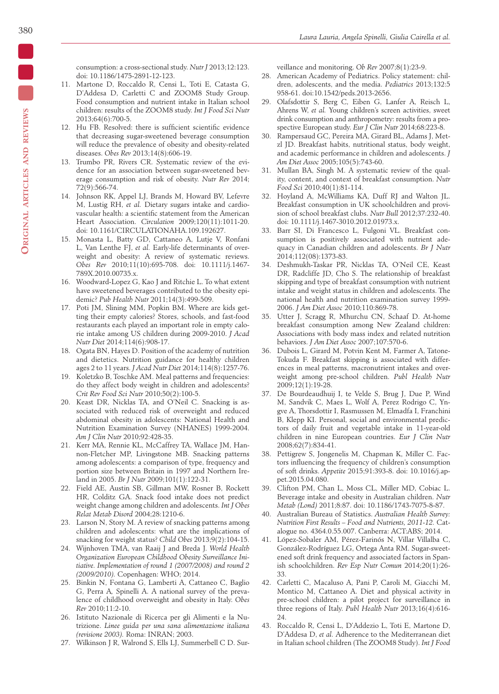consumption: a cross-sectional study. *Nutr J* 2013;12:123. doi: 10.1186/1475-2891-12-123.

- 11. Martone D, Roccaldo R, Censi L, Toti E, Catasta G, D'Addesa D, Carletti C and ZOOM8 Study Group. Food consumption and nutrient intake in Italian school children: results of the ZOOM8 study. *Int J Food Sci Nutr* 2013;64(6):700-5.
- 12. Hu FB. Resolved: there is sufficient scientific evidence that decreasing sugar-sweetened beverage consumption will reduce the prevalence of obesity and obesity-related diseases. *Obes Rev* 2013;14(8):606-19.
- 13. Trumbo PR, Rivers CR. Systematic review of the evidence for an association between sugar-sweetened beverage consumption and risk of obesity. *Nutr Rev* 2014; 72(9):566-74.
- 14. Johnson RK, Appel LJ, Brands M, Howard BV, Lefevre M, Lustig RH, *et al.* Dietary sugars intake and cardiovascular health: a scientific statement from the American Heart Association. *Circulation* 2009;120(11):1011-20. doi: 10.1161/CIRCULATIONAHA.109.192627.
- 15. Monasta L, Batty GD, Cattaneo A, Lutje V, Ronfani L, Van Lenthe FJ, *et al.* Early-life determinants of overweight and obesity: A review of systematic reviews. *Obes Rev* 2010;11(10):695-708. doi: 10.1111/j.1467- 789X.2010.00735.x.
- 16. Woodward-Lopez G, Kao J and Ritchie L. To what extent have sweetened beverages contributed to the obesity epidemic? *Pub Health Nutr* 2011;14(3):499-509.
- 17. Poti JM, Slining MM, Popkin BM. Where are kids getting their empty calories? Stores, schools, and fast-food restaurants each played an important role in empty calorie intake among US children during 2009-2010. *J Acad Nutr Diet* 2014;114(6):908-17.
- 18. Ogata BN, Hayes D. Position of the academy of nutrition and dietetics. Nutrition guidance for healthy children ages 2 to 11 years. *J Acad Nutr Diet* 2014;114(8):1257-76.
- 19. Koletzko B, Toschke AM. Meal patterns and frequencies: do they affect body weight in children and adolescents? *Crit Rev Food Sci Nutr* 2010;50(2):100-5.
- 20. Keast DR, Nicklas TA, and O'Neil C. Snacking is associated with reduced risk of overweight and reduced abdominal obesity in adolescents: National Health and Nutrition Examination Survey (NHANES) 1999-2004. *Am J Clin Nutr* 2010;92:428-35.
- 21. Kerr MA, Rennie KL, McCaffrey TA, Wallace JM, Hannon-Fletcher MP, Livingstone MB. Snacking patterns among adolescents: a comparison of type, frequency and portion size between Britain in 1997 and Northern Ireland in 2005. *Br J Nutr* 2009;101(1):122-31.
- 22. Field AE, Austin SB, Gillman MW, Rosner B, Rockett HR, Colditz GA. Snack food intake does not predict weight change among children and adolescents. *Int J Obes Relat Metab Disord* 2004;28:1210-6.
- 23. Larson N, Story M. A review of snacking patterns among children and adolescents: what are the implications of snacking for weight status? *Child Obes* 2013;9(2):104-15.
- 24. Wijnhoven TMA, van Raaij J and Breda J*. World Health Organization European Childhood Obesity Surveillance Initiative. Implementation of round 1 (2007/2008) and round 2 (2009/2010).* Copenhagen: WHO; 2014.
- 25. Binkin N, Fontana G, Lamberti A, Cattaneo C, Baglio G, Perra A*,* Spinelli A. A national survey of the prevalence of childhood overweight and obesity in Italy. *Obes Rev* 2010;11:2-10.
- 26. Istituto Nazionale di Ricerca per gli Alimenti e la Nutrizione. *Linee guida per una sana alimentazione italiana (revisione 2003).* Roma: INRAN; 2003.
- 27. Wilkinson J R, Walrond S, Ells LJ, Summerbell C D. Sur-

veillance and monitoring. *Ob Rev* 2007;8(1):23-9.

- 28. American Academy of Pediatrics. Policy statement: children, adolescents, and the media. *Pediatrics* 2013;132:5 958-61. doi:10.1542/peds.2013-2656.
- 29. Olafsdottir S, Berg C, Eiben G, Lanfer A, Reisch L, Ahrens W, *et al.* Young children's screen activities, sweet drink consumption and anthropometry: results from a prospective European study. *Eur J Clin Nutr* 2014;68:223-8.
- 30. Rampersaud GC, Pereira MA, Girard BL, Adams J, Metzl JD. Breakfast habits, nutritional status, body weight, and academic performance in children and adolescents. *J Am Diet Assoc* 2005;105(5):743-60.
- 31. Mullan BA, Singh M. A systematic review of the quality, content, and context of breakfast consumption. *Nutr Food Sci* 2010;40(1):81-114.
- 32. Hoyland A, McWilliams KA, Duff RJ and Walton JL. Breakfast consumption in UK schoolchildren and provision of school breakfast clubs. *Nutr Bull* 2012;37:232-40. doi: 10.1111/j.1467-3010.2012.01973.x.
- 33. Barr SI, Di Francesco L, Fulgoni VL. Breakfast consumption is positively associated with nutrient adequacy in Canadian children and adolescents. *Br J Nutr* 2014;112(08):1373-83.
- 34. Deshmukh-Taskar PR, Nicklas TA, O'Neil CE, Keast DR, Radcliffe JD, Cho S. The relationship of breakfast skipping and type of breakfast consumption with nutrient intake and weight status in children and adolescents. The national health and nutrition examination survey 1999- 2006. *J Am Diet Assoc* 2010;110:869-78.
- 35. Utter J, Scragg R, Mhurchu CN, Schaaf D. At-home breakfast consumption among New Zealand children: Associations with body mass index and related nutrition behaviors. *J Am Diet Assoc* 2007;107:570-6.
- 36. Dubois L, Girard M, Potvin Kent M, Farmer A, Tatone-Tokuda F. Breakfast skipping is associated with differences in meal patterns, macronutrient intakes and overweight among pre-school children. *Publ Health Nutr* 2009;12(1):19-28.
- 37. De Bourdeaudhuij I, te Velde S, Brug J, Due P, Wind M, Sandvik C, Maes L, Wolf A, Perez Rodrigo C, Yngve A, Thorsdottir I, Rasmussen M, Elmadfa I, Franchini B, Klepp KI. Personal, social and environmental predictors of daily fruit and vegetable intake in 11-year-old children in nine European countries. *Eur J Clin Nutr* 2008;62(7):834-41.
- 38. Pettigrew S, Jongenelis M, Chapman K, Miller C. Factors influencing the frequency of children's consumption of soft drinks. *Appetite* 2015;91:393-8. doi: 10.1016/j.appet.2015.04.080.
- 39. Clifton PM, Chan L, Moss CL, Miller MD, Cobiac L. Beverage intake and obesity in Australian children. *Nutr Metab (Lond)* 2011;8:87. doi: 10.1186/1743-7075-8-87.
- 40. Australian Bureau of Statistics. *Australian Health Survey: Nutrition First Results – Food and Nutrients, 2011-12.* Catalogue no. 4364.0.55.007. Canberra: ACT:ABS; 2014.
- 41. López-Sobaler AM, Pérez-Farinós N, Villar Villalba C, González-Rodríguez LG, Ortega Anta RM. Sugar-sweetened soft drink frequency and associated factors in Spanish schoolchildren. *Rev Esp Nutr Comun* 2014;20(1):26- 33.
- 42. Carletti C, Macaluso A, Pani P, Caroli M, Giacchi M, Montico M, Cattaneo A. Diet and physical activity in pre-school children: a pilot project for surveillance in three regions of Italy. *Publ Health Nutr* 2013;16(4):616- 24.
- 43. Roccaldo R, Censi L, D'Addezio L, Toti E, Martone D, D'Addesa D, *et al.* Adherence to the Mediterranean diet in Italian school children (The ZOOM8 Study). *Int J Food*